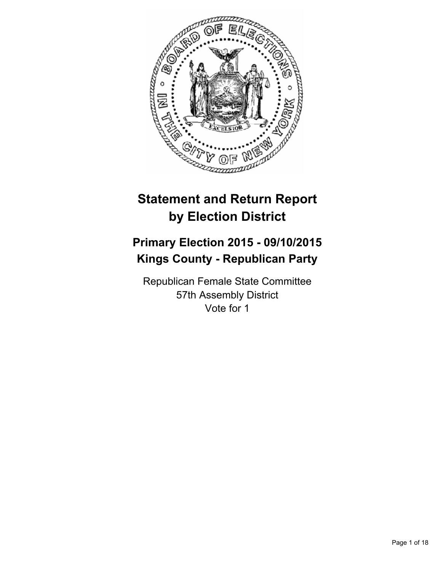

# **Statement and Return Report by Election District**

# **Primary Election 2015 - 09/10/2015 Kings County - Republican Party**

Republican Female State Committee 57th Assembly District Vote for 1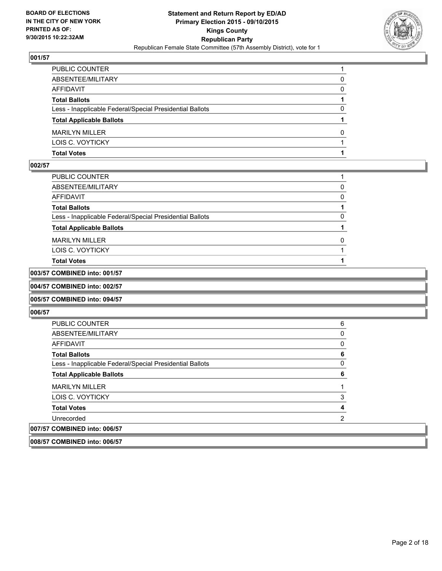

| PUBLIC COUNTER                                           |   |
|----------------------------------------------------------|---|
| ABSENTEE/MILITARY                                        | 0 |
| AFFIDAVIT                                                | 0 |
| <b>Total Ballots</b>                                     |   |
| Less - Inapplicable Federal/Special Presidential Ballots | 0 |
| <b>Total Applicable Ballots</b>                          |   |
| <b>MARILYN MILLER</b>                                    | 0 |
| LOIS C. VOYTICKY                                         |   |
| Total Votes                                              |   |

#### **002/57**

| PUBLIC COUNTER                                           |   |
|----------------------------------------------------------|---|
| ABSENTEE/MILITARY                                        | 0 |
| AFFIDAVIT                                                | 0 |
| <b>Total Ballots</b>                                     |   |
| Less - Inapplicable Federal/Special Presidential Ballots | 0 |
| <b>Total Applicable Ballots</b>                          |   |
| MARILYN MILLER                                           | 0 |
| LOIS C. VOYTICKY                                         |   |
| Total Votes                                              |   |
|                                                          |   |

# **003/57 COMBINED into: 001/57**

## **004/57 COMBINED into: 002/57**

#### **005/57 COMBINED into: 094/57**

| <b>PUBLIC COUNTER</b>                                    | 6 |
|----------------------------------------------------------|---|
| ABSENTEE/MILITARY                                        | 0 |
| AFFIDAVIT                                                | 0 |
| <b>Total Ballots</b>                                     | 6 |
| Less - Inapplicable Federal/Special Presidential Ballots | 0 |
| <b>Total Applicable Ballots</b>                          | 6 |
| <b>MARILYN MILLER</b>                                    |   |
| LOIS C. VOYTICKY                                         | 3 |
| <b>Total Votes</b>                                       | 4 |
| Unrecorded                                               | 2 |
| 007/57 COMBINED into: 006/57                             |   |
| 008/57 COMBINED into: 006/57                             |   |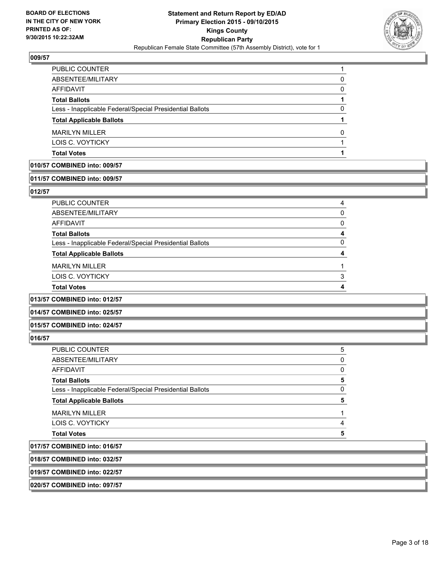

| PUBLIC COUNTER                                           |              |
|----------------------------------------------------------|--------------|
| ABSENTEE/MILITARY                                        | 0            |
| <b>AFFIDAVIT</b>                                         | $\Omega$     |
| <b>Total Ballots</b>                                     |              |
| Less - Inapplicable Federal/Special Presidential Ballots | 0            |
| <b>Total Applicable Ballots</b>                          |              |
| <b>MARILYN MILLER</b>                                    | <sup>0</sup> |
| LOIS C. VOYTICKY                                         |              |
| <b>Total Votes</b>                                       |              |
|                                                          |              |

#### **010/57 COMBINED into: 009/57**

#### **011/57 COMBINED into: 009/57**

#### **012/57**

| PUBLIC COUNTER                                           |   |
|----------------------------------------------------------|---|
| ABSENTEE/MILITARY                                        |   |
| <b>AFFIDAVIT</b>                                         |   |
| <b>Total Ballots</b>                                     |   |
| Less - Inapplicable Federal/Special Presidential Ballots | n |
| <b>Total Applicable Ballots</b>                          |   |
| <b>MARILYN MILLER</b>                                    |   |
| LOIS C. VOYTICKY                                         | ຈ |
| <b>Total Votes</b>                                       |   |
|                                                          |   |

#### **013/57 COMBINED into: 012/57**

**014/57 COMBINED into: 025/57**

#### **015/57 COMBINED into: 024/57**

#### **016/57**

| A                                                        |   |
|----------------------------------------------------------|---|
| <b>Total Votes</b>                                       | 5 |
| LOIS C. VOYTICKY                                         | 4 |
| <b>MARILYN MILLER</b>                                    |   |
| <b>Total Applicable Ballots</b>                          | 5 |
| Less - Inapplicable Federal/Special Presidential Ballots | 0 |
| <b>Total Ballots</b>                                     | 5 |
| AFFIDAVIT                                                | 0 |
| ABSENTEE/MILITARY                                        | 0 |
| <b>PUBLIC COUNTER</b>                                    | 5 |

# **017/57 COMBINED into: 016/57**

**018/57 COMBINED into: 032/57**

## **019/57 COMBINED into: 022/57**

**020/57 COMBINED into: 097/57**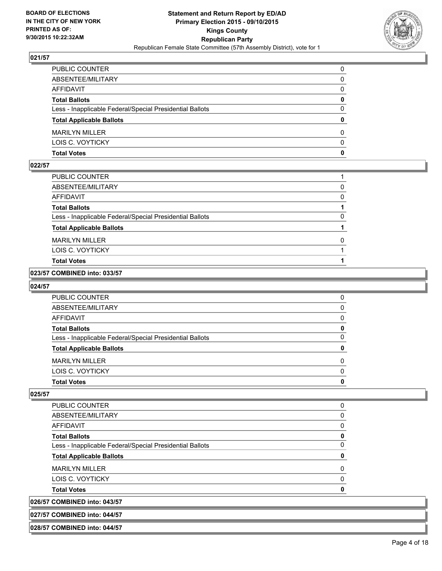

| PUBLIC COUNTER                                           | 0            |
|----------------------------------------------------------|--------------|
| ABSENTEE/MILITARY                                        | 0            |
| AFFIDAVIT                                                | $\mathbf{0}$ |
| <b>Total Ballots</b>                                     | 0            |
| Less - Inapplicable Federal/Special Presidential Ballots | $\Omega$     |
| <b>Total Applicable Ballots</b>                          | $\mathbf{0}$ |
| <b>MARILYN MILLER</b>                                    | 0            |
| LOIS C. VOYTICKY                                         | $\Omega$     |
| Total Votes                                              | $\mathbf{0}$ |

#### **022/57**

| PUBLIC COUNTER                                           |   |
|----------------------------------------------------------|---|
| ABSENTEE/MILITARY                                        | 0 |
| <b>AFFIDAVIT</b>                                         | 0 |
| <b>Total Ballots</b>                                     |   |
| Less - Inapplicable Federal/Special Presidential Ballots | 0 |
| <b>Total Applicable Ballots</b>                          |   |
| <b>MARILYN MILLER</b>                                    | 0 |
| LOIS C. VOYTICKY                                         |   |
| <b>Total Votes</b>                                       |   |

### **023/57 COMBINED into: 033/57**

#### **024/57**

| <b>PUBLIC COUNTER</b>                                    |  |
|----------------------------------------------------------|--|
| ABSENTEE/MILITARY                                        |  |
| AFFIDAVIT                                                |  |
| <b>Total Ballots</b>                                     |  |
| Less - Inapplicable Federal/Special Presidential Ballots |  |
| <b>Total Applicable Ballots</b>                          |  |
| <b>MARILYN MILLER</b>                                    |  |
| LOIS C. VOYTICKY                                         |  |
| <b>Total Votes</b>                                       |  |

**025/57** 

| <b>PUBLIC COUNTER</b>                                    |   |
|----------------------------------------------------------|---|
| ABSENTEE/MILITARY                                        |   |
| AFFIDAVIT                                                |   |
| <b>Total Ballots</b>                                     | 0 |
| Less - Inapplicable Federal/Special Presidential Ballots | 0 |
| <b>Total Applicable Ballots</b>                          | 0 |
| <b>MARILYN MILLER</b>                                    |   |
| LOIS C. VOYTICKY                                         |   |
| <b>Total Votes</b>                                       |   |
| 026/57 COMBINED into: 043/57                             |   |

**027/57 COMBINED into: 044/57**

**028/57 COMBINED into: 044/57**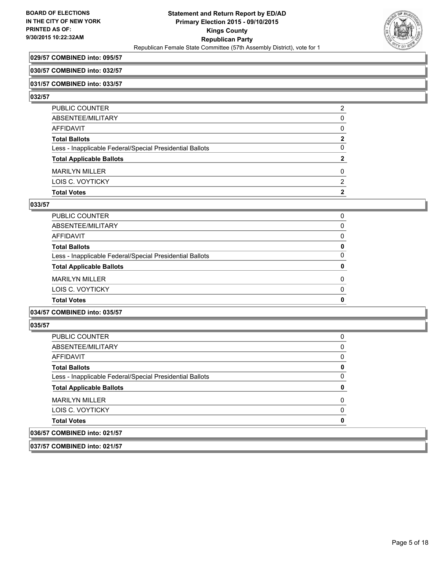

#### **029/57 COMBINED into: 095/57**

#### **030/57 COMBINED into: 032/57**

#### **031/57 COMBINED into: 033/57**

#### **032/57**

| PUBLIC COUNTER                                           | 2 |
|----------------------------------------------------------|---|
| ABSENTEE/MILITARY                                        | 0 |
| <b>AFFIDAVIT</b>                                         | 0 |
| <b>Total Ballots</b>                                     | 2 |
| Less - Inapplicable Federal/Special Presidential Ballots | 0 |
| <b>Total Applicable Ballots</b>                          | 2 |
| <b>MARILYN MILLER</b>                                    | 0 |
| LOIS C. VOYTICKY                                         | 2 |
| <b>Total Votes</b>                                       | 2 |
|                                                          |   |

#### **033/57**

| <b>Total Votes</b>                                       | 0            |
|----------------------------------------------------------|--------------|
| LOIS C. VOYTICKY                                         | $\Omega$     |
| <b>MARILYN MILLER</b>                                    | $\Omega$     |
| <b>Total Applicable Ballots</b>                          | $\mathbf{0}$ |
| Less - Inapplicable Federal/Special Presidential Ballots | 0            |
| <b>Total Ballots</b>                                     | 0            |
| AFFIDAVIT                                                | $\Omega$     |
| ABSENTEE/MILITARY                                        | 0            |
| PUBLIC COUNTER                                           | 0            |

#### **034/57 COMBINED into: 035/57**

## **035/57**

| 036/57 COMBINED into: 021/57                             |   |
|----------------------------------------------------------|---|
| <b>Total Votes</b>                                       | 0 |
| LOIS C. VOYTICKY                                         | 0 |
| <b>MARILYN MILLER</b>                                    | 0 |
| <b>Total Applicable Ballots</b>                          | 0 |
| Less - Inapplicable Federal/Special Presidential Ballots | 0 |
| <b>Total Ballots</b>                                     | 0 |
| <b>AFFIDAVIT</b>                                         | 0 |
| ABSENTEE/MILITARY                                        | 0 |
| PUBLIC COUNTER                                           | 0 |

#### **037/57 COMBINED into: 021/57**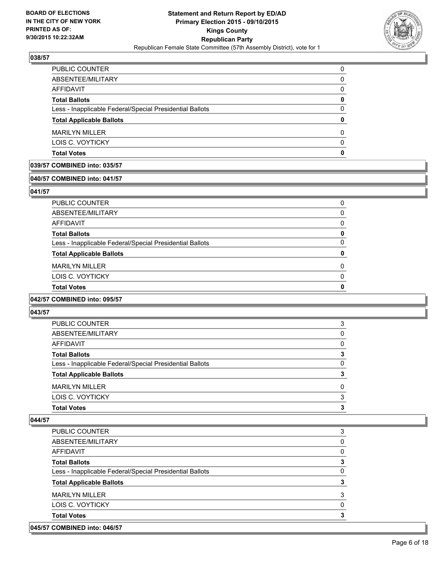

| <b>Total Votes</b>                                       | 0        |
|----------------------------------------------------------|----------|
| LOIS C. VOYTICKY                                         | $\Omega$ |
| <b>MARILYN MILLER</b>                                    | 0        |
| <b>Total Applicable Ballots</b>                          | 0        |
| Less - Inapplicable Federal/Special Presidential Ballots | 0        |
| <b>Total Ballots</b>                                     | 0        |
| <b>AFFIDAVIT</b>                                         | 0        |
| ABSENTEE/MILITARY                                        | 0        |
| <b>PUBLIC COUNTER</b>                                    | 0        |

### **039/57 COMBINED into: 035/57**

# **040/57 COMBINED into: 041/57**

#### **041/57**

| <b>Total Votes</b>                                       | n        |
|----------------------------------------------------------|----------|
| LOIS C. VOYTICKY                                         | $\Omega$ |
| <b>MARILYN MILLER</b>                                    | 0        |
| <b>Total Applicable Ballots</b>                          | 0        |
| Less - Inapplicable Federal/Special Presidential Ballots | 0        |
| <b>Total Ballots</b>                                     | 0        |
| AFFIDAVIT                                                | 0        |
| ABSENTEE/MILITARY                                        | 0        |
| PUBLIC COUNTER                                           | 0        |

#### **042/57 COMBINED into: 095/57**

#### **043/57**

| PUBLIC COUNTER                                           | 3        |
|----------------------------------------------------------|----------|
| ABSENTEE/MILITARY                                        | $\Omega$ |
| AFFIDAVIT                                                | 0        |
| <b>Total Ballots</b>                                     | 3        |
| Less - Inapplicable Federal/Special Presidential Ballots | 0        |
| <b>Total Applicable Ballots</b>                          | 3        |
| <b>MARILYN MILLER</b>                                    | 0        |
| LOIS C. VOYTICKY                                         | 3        |
| <b>Total Votes</b>                                       | 3        |
|                                                          |          |

#### **044/57**

| <b>PUBLIC COUNTER</b>                                    | 3        |
|----------------------------------------------------------|----------|
| ABSENTEE/MILITARY                                        | 0        |
| AFFIDAVIT                                                | $\Omega$ |
| <b>Total Ballots</b>                                     | 3        |
| Less - Inapplicable Federal/Special Presidential Ballots | 0        |
| <b>Total Applicable Ballots</b>                          | 3        |
| <b>MARILYN MILLER</b>                                    | 3        |
| LOIS C. VOYTICKY                                         | $\Omega$ |
| <b>Total Votes</b>                                       | 3        |
|                                                          |          |

# **045/57 COMBINED into: 046/57**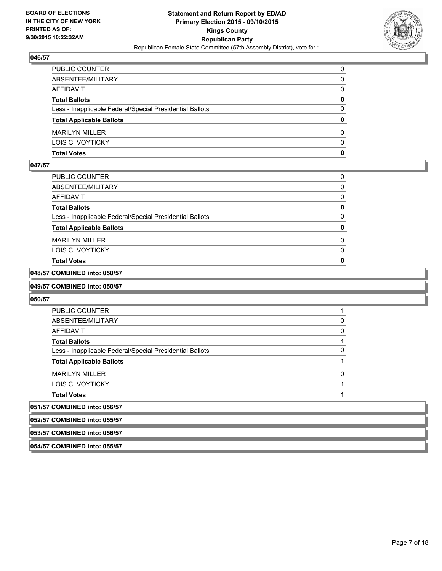

| PUBLIC COUNTER                                           | 0            |
|----------------------------------------------------------|--------------|
| ABSENTEE/MILITARY                                        | 0            |
| AFFIDAVIT                                                | 0            |
| <b>Total Ballots</b>                                     | $\mathbf{0}$ |
| Less - Inapplicable Federal/Special Presidential Ballots | $\Omega$     |
| <b>Total Applicable Ballots</b>                          | $\mathbf{0}$ |
| <b>MARILYN MILLER</b>                                    | 0            |
| LOIS C. VOYTICKY                                         | $\Omega$     |
| Total Votes                                              | $\mathbf{0}$ |

### **047/57**

| PUBLIC COUNTER                                           | 0 |
|----------------------------------------------------------|---|
| ABSENTEE/MILITARY                                        | 0 |
| <b>AFFIDAVIT</b>                                         | 0 |
| <b>Total Ballots</b>                                     | 0 |
| Less - Inapplicable Federal/Special Presidential Ballots | 0 |
| <b>Total Applicable Ballots</b>                          | 0 |
| <b>MARILYN MILLER</b>                                    | 0 |
| LOIS C. VOYTICKY                                         | 0 |
| <b>Total Votes</b>                                       | o |

# **048/57 COMBINED into: 050/57**

#### **049/57 COMBINED into: 050/57**

#### **050/57**

| <b>PUBLIC COUNTER</b>                                    |  |
|----------------------------------------------------------|--|
| ABSENTEE/MILITARY                                        |  |
| AFFIDAVIT                                                |  |
| <b>Total Ballots</b>                                     |  |
| Less - Inapplicable Federal/Special Presidential Ballots |  |
| <b>Total Applicable Ballots</b>                          |  |
| <b>MARILYN MILLER</b>                                    |  |
| LOIS C. VOYTICKY                                         |  |
| <b>Total Votes</b>                                       |  |
| 051/57 COMBINED into: 056/57                             |  |
| 052/57 COMBINED into: 055/57                             |  |

# **053/57 COMBINED into: 056/57**

**054/57 COMBINED into: 055/57**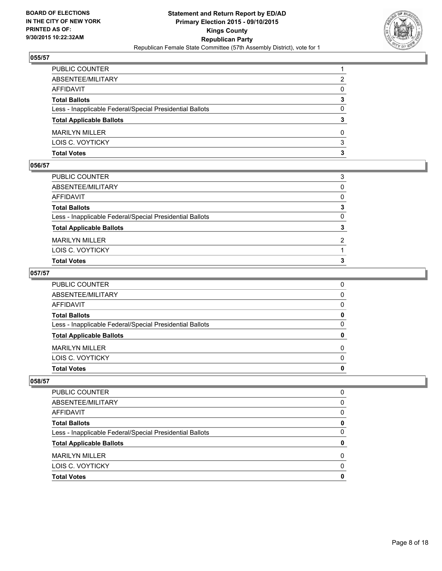

| PUBLIC COUNTER                                           |          |
|----------------------------------------------------------|----------|
| ABSENTEE/MILITARY                                        | 2        |
| AFFIDAVIT                                                | 0        |
| Total Ballots                                            | 3        |
| Less - Inapplicable Federal/Special Presidential Ballots | $\Omega$ |
| <b>Total Applicable Ballots</b>                          | 3        |
| <b>MARILYN MILLER</b>                                    | 0        |
| LOIS C. VOYTICKY                                         | 3        |
| Total Votes                                              | 3        |

#### **056/57**

| <b>Total Votes</b>                                       | 3            |
|----------------------------------------------------------|--------------|
| LOIS C. VOYTICKY                                         |              |
| <b>MARILYN MILLER</b>                                    | 2            |
| <b>Total Applicable Ballots</b>                          | 3            |
| Less - Inapplicable Federal/Special Presidential Ballots | $\mathbf{0}$ |
| <b>Total Ballots</b>                                     | 3            |
| AFFIDAVIT                                                | $\Omega$     |
| ABSENTEE/MILITARY                                        | $\Omega$     |
| PUBLIC COUNTER                                           | 3            |
|                                                          |              |

## **057/57**

| PUBLIC COUNTER                                           | 0            |
|----------------------------------------------------------|--------------|
| ABSENTEE/MILITARY                                        | $\mathbf{0}$ |
| AFFIDAVIT                                                | $\Omega$     |
| <b>Total Ballots</b>                                     | 0            |
| Less - Inapplicable Federal/Special Presidential Ballots | $\Omega$     |
| <b>Total Applicable Ballots</b>                          | $\mathbf{0}$ |
| <b>MARILYN MILLER</b>                                    | $\Omega$     |
| LOIS C. VOYTICKY                                         | $\Omega$     |
| Total Votes                                              | 0            |
|                                                          |              |

| PUBLIC COUNTER                                           |   |
|----------------------------------------------------------|---|
| ABSENTEE/MILITARY                                        | 0 |
| <b>AFFIDAVIT</b>                                         | 0 |
| <b>Total Ballots</b>                                     | Ω |
| Less - Inapplicable Federal/Special Presidential Ballots | O |
| <b>Total Applicable Ballots</b>                          |   |
| <b>MARILYN MILLER</b>                                    | ŋ |
| LOIS C. VOYTICKY                                         | n |
| <b>Total Votes</b>                                       |   |
|                                                          |   |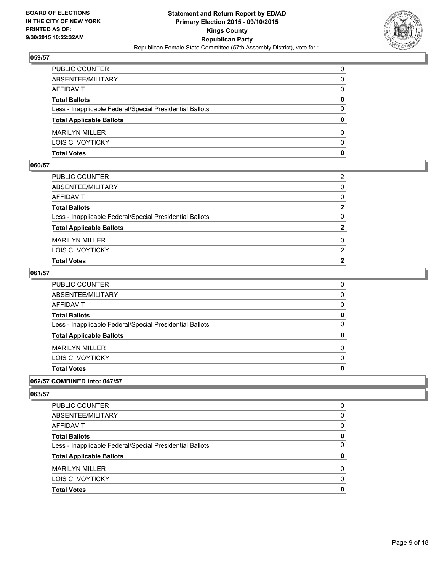

| PUBLIC COUNTER                                           | 0            |
|----------------------------------------------------------|--------------|
| ABSENTEE/MILITARY                                        | 0            |
| AFFIDAVIT                                                | 0            |
| <b>Total Ballots</b>                                     | $\mathbf{0}$ |
| Less - Inapplicable Federal/Special Presidential Ballots | $\Omega$     |
| <b>Total Applicable Ballots</b>                          | $\mathbf{0}$ |
| <b>MARILYN MILLER</b>                                    | 0            |
| LOIS C. VOYTICKY                                         | $\Omega$     |
| Total Votes                                              | $\mathbf{0}$ |

#### **060/57**

| LOIS C. VOYTICKY                                         | 2              |
|----------------------------------------------------------|----------------|
| <b>MARILYN MILLER</b>                                    | 0              |
| <b>Total Applicable Ballots</b>                          | $\mathbf{2}$   |
|                                                          |                |
| Less - Inapplicable Federal/Special Presidential Ballots | $\Omega$       |
| <b>Total Ballots</b>                                     | $\mathbf{2}$   |
| AFFIDAVIT                                                | $\Omega$       |
|                                                          |                |
| ABSENTEE/MILITARY                                        | $\Omega$       |
|                                                          |                |
| PUBLIC COUNTER                                           | $\overline{2}$ |

## **061/57**

| PUBLIC COUNTER                                           | 0            |
|----------------------------------------------------------|--------------|
| ABSENTEE/MILITARY                                        | $\mathbf{0}$ |
| AFFIDAVIT                                                | 0            |
| Total Ballots                                            | 0            |
| Less - Inapplicable Federal/Special Presidential Ballots | $\mathbf{0}$ |
| <b>Total Applicable Ballots</b>                          | $\mathbf{0}$ |
| MARILYN MILLER                                           | 0            |
| LOIS C. VOYTICKY                                         | $\mathbf{0}$ |
| <b>Total Votes</b>                                       | $\mathbf{0}$ |
|                                                          |              |

## **062/57 COMBINED into: 047/57**

| <sup>0</sup> |
|--------------|
|              |
| 0            |
| 0            |
| 0            |
| 0            |
| 0            |
| 0            |
| 0            |
|              |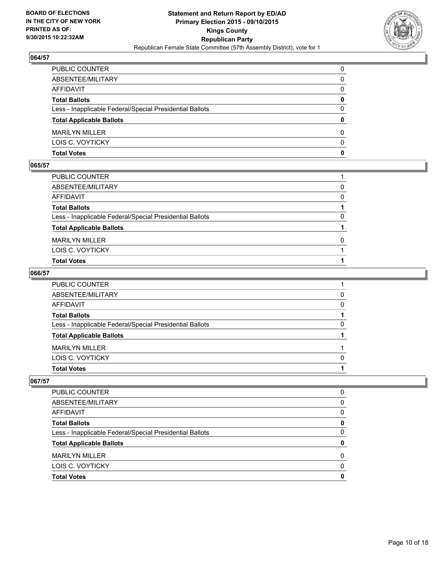

| PUBLIC COUNTER                                           | 0            |
|----------------------------------------------------------|--------------|
| ABSENTEE/MILITARY                                        | $\mathbf{0}$ |
| AFFIDAVIT                                                | 0            |
| Total Ballots                                            | 0            |
| Less - Inapplicable Federal/Special Presidential Ballots | $\Omega$     |
| <b>Total Applicable Ballots</b>                          | $\bf{0}$     |
| <b>MARILYN MILLER</b>                                    | 0            |
| LOIS C. VOYTICKY                                         | $\Omega$     |
| Total Votes                                              | $\mathbf{0}$ |

#### **065/57**

| PUBLIC COUNTER                                           |          |
|----------------------------------------------------------|----------|
| ABSENTEE/MILITARY                                        | 0        |
| AFFIDAVIT                                                | $\Omega$ |
| <b>Total Ballots</b>                                     |          |
| Less - Inapplicable Federal/Special Presidential Ballots | 0        |
| <b>Total Applicable Ballots</b>                          |          |
| MARILYN MILLER                                           | $\Omega$ |
| LOIS C. VOYTICKY                                         |          |
| <b>Total Votes</b>                                       |          |
|                                                          |          |

## **066/57**

| Total Votes                                              |          |
|----------------------------------------------------------|----------|
| LOIS C. VOYTICKY                                         | $\Omega$ |
| <b>MARILYN MILLER</b>                                    |          |
| <b>Total Applicable Ballots</b>                          |          |
| Less - Inapplicable Federal/Special Presidential Ballots | 0        |
| <b>Total Ballots</b>                                     |          |
| AFFIDAVIT                                                | $\Omega$ |
| ABSENTEE/MILITARY                                        | 0        |
| PUBLIC COUNTER                                           |          |

| PUBLIC COUNTER                                           |   |
|----------------------------------------------------------|---|
| ABSENTEE/MILITARY                                        | 0 |
| <b>AFFIDAVIT</b>                                         | 0 |
| <b>Total Ballots</b>                                     | Ω |
| Less - Inapplicable Federal/Special Presidential Ballots | O |
| <b>Total Applicable Ballots</b>                          |   |
| <b>MARILYN MILLER</b>                                    | ŋ |
| LOIS C. VOYTICKY                                         | n |
| <b>Total Votes</b>                                       |   |
|                                                          |   |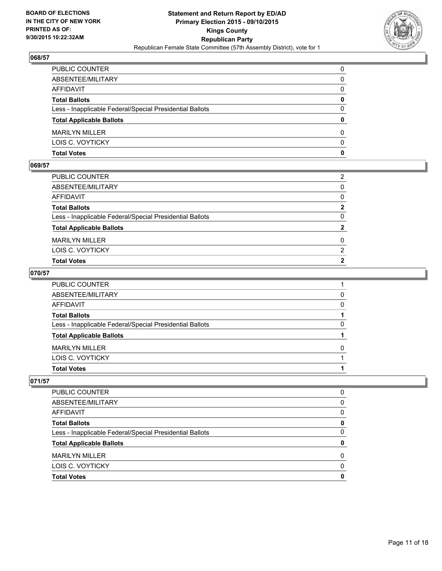

| PUBLIC COUNTER                                           | 0            |
|----------------------------------------------------------|--------------|
| ABSENTEE/MILITARY                                        | $\mathbf{0}$ |
| AFFIDAVIT                                                | 0            |
| Total Ballots                                            | 0            |
| Less - Inapplicable Federal/Special Presidential Ballots | $\Omega$     |
| <b>Total Applicable Ballots</b>                          | $\bf{0}$     |
| <b>MARILYN MILLER</b>                                    | 0            |
| LOIS C. VOYTICKY                                         | $\Omega$     |
| Total Votes                                              | $\mathbf{0}$ |

#### **069/57**

| PUBLIC COUNTER                                           | 2            |
|----------------------------------------------------------|--------------|
| ABSENTEE/MILITARY                                        | $\Omega$     |
| AFFIDAVIT                                                | $\Omega$     |
| <b>Total Ballots</b>                                     | $\mathbf{2}$ |
| Less - Inapplicable Federal/Special Presidential Ballots | $\Omega$     |
| <b>Total Applicable Ballots</b>                          | $\mathbf{2}$ |
| <b>MARILYN MILLER</b>                                    | 0            |
| LOIS C. VOYTICKY                                         | 2            |
| <b>Total Votes</b>                                       | $\mathbf{2}$ |
|                                                          |              |

## **070/57**

| Total Votes                                              |          |
|----------------------------------------------------------|----------|
| LOIS C. VOYTICKY                                         |          |
| <b>MARILYN MILLER</b>                                    | 0        |
| <b>Total Applicable Ballots</b>                          |          |
| Less - Inapplicable Federal/Special Presidential Ballots | 0        |
| <b>Total Ballots</b>                                     |          |
| AFFIDAVIT                                                | $\Omega$ |
| ABSENTEE/MILITARY                                        | 0        |
| PUBLIC COUNTER                                           |          |

| PUBLIC COUNTER                                           | 0            |
|----------------------------------------------------------|--------------|
| ABSENTEE/MILITARY                                        | <sup>0</sup> |
| AFFIDAVIT                                                | <sup>0</sup> |
| <b>Total Ballots</b>                                     |              |
| Less - Inapplicable Federal/Special Presidential Ballots | <sup>0</sup> |
| <b>Total Applicable Ballots</b>                          |              |
| <b>MARILYN MILLER</b>                                    | O            |
| LOIS C. VOYTICKY                                         | n            |
| <b>Total Votes</b>                                       |              |
|                                                          |              |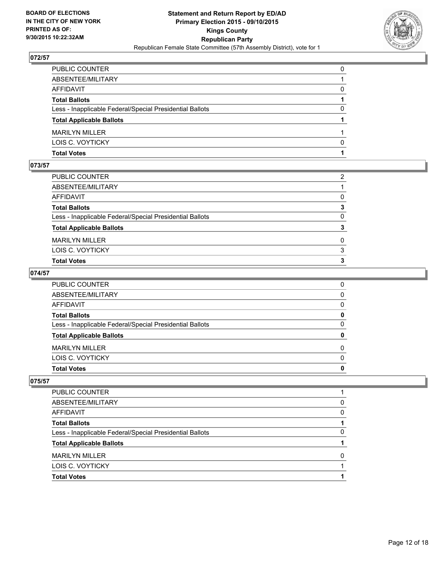

| PUBLIC COUNTER                                           | 0        |
|----------------------------------------------------------|----------|
| ABSENTEE/MILITARY                                        |          |
| AFFIDAVIT                                                | 0        |
| Total Ballots                                            |          |
| Less - Inapplicable Federal/Special Presidential Ballots | $\Omega$ |
| <b>Total Applicable Ballots</b>                          |          |
| <b>MARILYN MILLER</b>                                    |          |
| LOIS C. VOYTICKY                                         | $\Omega$ |
| Total Votes                                              |          |

#### **073/57**

| PUBLIC COUNTER                                           | 2            |
|----------------------------------------------------------|--------------|
| ABSENTEE/MILITARY                                        |              |
| AFFIDAVIT                                                | $\Omega$     |
| <b>Total Ballots</b>                                     | 3            |
| Less - Inapplicable Federal/Special Presidential Ballots | $\mathbf{0}$ |
| <b>Total Applicable Ballots</b>                          | 3            |
| <b>MARILYN MILLER</b>                                    | $\Omega$     |
| LOIS C. VOYTICKY                                         | 3            |
| <b>Total Votes</b>                                       | 3            |
|                                                          |              |

## **074/57**

| PUBLIC COUNTER                                           | 0            |
|----------------------------------------------------------|--------------|
| ABSENTEE/MILITARY                                        | $\mathbf{0}$ |
| AFFIDAVIT                                                | $\Omega$     |
| <b>Total Ballots</b>                                     | 0            |
| Less - Inapplicable Federal/Special Presidential Ballots | $\Omega$     |
| <b>Total Applicable Ballots</b>                          | $\mathbf{0}$ |
| <b>MARILYN MILLER</b>                                    | $\Omega$     |
| LOIS C. VOYTICKY                                         | $\Omega$     |
| Total Votes                                              | 0            |
|                                                          |              |

| PUBLIC COUNTER                                           |              |
|----------------------------------------------------------|--------------|
| ABSENTEE/MILITARY                                        | <sup>0</sup> |
| AFFIDAVIT                                                | <sup>0</sup> |
| <b>Total Ballots</b>                                     |              |
| Less - Inapplicable Federal/Special Presidential Ballots | <sup>0</sup> |
| <b>Total Applicable Ballots</b>                          |              |
| <b>MARILYN MILLER</b>                                    | n            |
| LOIS C. VOYTICKY                                         |              |
| <b>Total Votes</b>                                       |              |
|                                                          |              |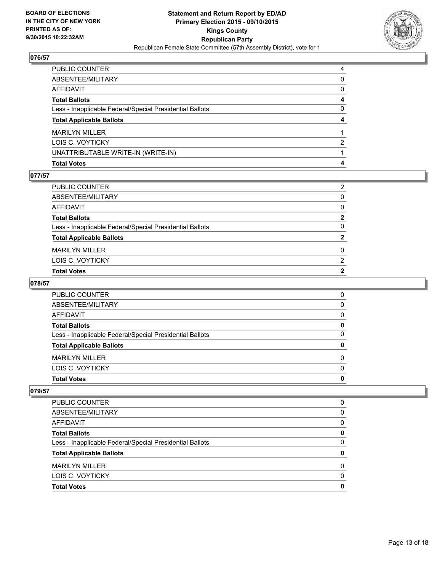

| PUBLIC COUNTER                                           | 4            |
|----------------------------------------------------------|--------------|
| ABSENTEE/MILITARY                                        | $\Omega$     |
| AFFIDAVIT                                                | $\mathbf{0}$ |
| Total Ballots                                            | 4            |
| Less - Inapplicable Federal/Special Presidential Ballots | 0            |
| <b>Total Applicable Ballots</b>                          | 4            |
| <b>MARILYN MILLER</b>                                    |              |
| LOIS C. VOYTICKY                                         | 2            |
| UNATTRIBUTABLE WRITE-IN (WRITE-IN)                       |              |
| Total Votes                                              | 4            |

#### **077/57**

| PUBLIC COUNTER                                           | 2              |
|----------------------------------------------------------|----------------|
| ABSENTEE/MILITARY                                        | $\Omega$       |
| AFFIDAVIT                                                | $\Omega$       |
| Total Ballots                                            | $\mathbf{2}$   |
| Less - Inapplicable Federal/Special Presidential Ballots | $\Omega$       |
| <b>Total Applicable Ballots</b>                          | $\overline{2}$ |
| <b>MARILYN MILLER</b>                                    | 0              |
| LOIS C. VOYTICKY                                         | 2              |
| <b>Total Votes</b>                                       | 2              |
|                                                          |                |

# **078/57**

| 0 |
|---|
| 0 |
| 0 |
| 0 |
| 0 |
| 0 |
| O |
| 0 |
| 0 |
|   |

| <b>PUBLIC COUNTER</b>                                    | 0 |
|----------------------------------------------------------|---|
| ABSENTEE/MILITARY                                        | 0 |
| AFFIDAVIT                                                | 0 |
| <b>Total Ballots</b>                                     | 0 |
| Less - Inapplicable Federal/Special Presidential Ballots | 0 |
| <b>Total Applicable Ballots</b>                          | 0 |
| <b>MARILYN MILLER</b>                                    | 0 |
| LOIS C. VOYTICKY                                         | 0 |
| <b>Total Votes</b>                                       | 0 |
|                                                          |   |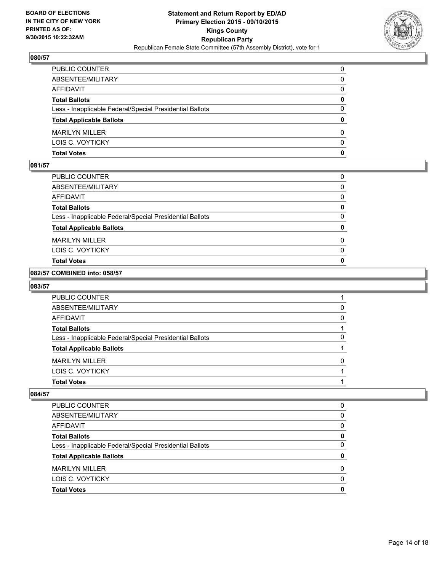

| PUBLIC COUNTER                                           | 0            |
|----------------------------------------------------------|--------------|
| ABSENTEE/MILITARY                                        | 0            |
| AFFIDAVIT                                                | 0            |
| <b>Total Ballots</b>                                     | $\mathbf{0}$ |
| Less - Inapplicable Federal/Special Presidential Ballots | $\Omega$     |
| <b>Total Applicable Ballots</b>                          | $\mathbf{0}$ |
| <b>MARILYN MILLER</b>                                    | 0            |
| LOIS C. VOYTICKY                                         | $\Omega$     |
| Total Votes                                              | $\mathbf{0}$ |

#### **081/57**

| <b>Total Votes</b>                                       | $\mathbf{0}$ |
|----------------------------------------------------------|--------------|
|                                                          |              |
| LOIS C. VOYTICKY                                         | 0            |
| <b>MARILYN MILLER</b>                                    | 0            |
| <b>Total Applicable Ballots</b>                          | 0            |
| Less - Inapplicable Federal/Special Presidential Ballots | 0            |
| <b>Total Ballots</b>                                     | 0            |
| <b>AFFIDAVIT</b>                                         | 0            |
| ABSENTEE/MILITARY                                        | 0            |
| PUBLIC COUNTER                                           | 0            |

#### **082/57 COMBINED into: 058/57**

#### **083/57**

| PUBLIC COUNTER                                           |              |
|----------------------------------------------------------|--------------|
| ABSENTEE/MILITARY                                        | <sup>0</sup> |
| AFFIDAVIT                                                | <sup>0</sup> |
| <b>Total Ballots</b>                                     |              |
| Less - Inapplicable Federal/Special Presidential Ballots | O            |
| <b>Total Applicable Ballots</b>                          |              |
| <b>MARILYN MILLER</b>                                    | O            |
| LOIS C. VOYTICKY                                         |              |
| <b>Total Votes</b>                                       |              |
|                                                          |              |

| <b>PUBLIC COUNTER</b>                                    | 0 |
|----------------------------------------------------------|---|
| ABSENTEE/MILITARY                                        | 0 |
| AFFIDAVIT                                                | 0 |
| <b>Total Ballots</b>                                     | 0 |
| Less - Inapplicable Federal/Special Presidential Ballots | 0 |
| <b>Total Applicable Ballots</b>                          | 0 |
| MARII YN MILLER                                          | 0 |
| LOIS C. VOYTICKY                                         | 0 |
| <b>Total Votes</b>                                       | 0 |
|                                                          |   |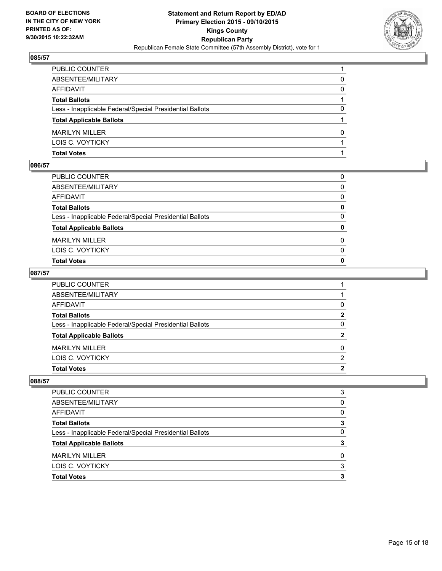

| PUBLIC COUNTER                                           |   |
|----------------------------------------------------------|---|
| ABSENTEE/MILITARY                                        | 0 |
| AFFIDAVIT                                                | 0 |
| <b>Total Ballots</b>                                     |   |
| Less - Inapplicable Federal/Special Presidential Ballots | 0 |
| <b>Total Applicable Ballots</b>                          |   |
| <b>MARILYN MILLER</b>                                    | 0 |
| LOIS C. VOYTICKY                                         |   |
| Total Votes                                              |   |

#### **086/57**

| PUBLIC COUNTER                                           | 0            |
|----------------------------------------------------------|--------------|
| ABSENTEE/MILITARY                                        | $\mathbf{0}$ |
| AFFIDAVIT                                                | $\Omega$     |
| <b>Total Ballots</b>                                     | 0            |
| Less - Inapplicable Federal/Special Presidential Ballots | $\mathbf{0}$ |
| <b>Total Applicable Ballots</b>                          | 0            |
| <b>MARILYN MILLER</b>                                    | 0            |
| LOIS C. VOYTICKY                                         | $\mathbf{0}$ |
| Total Votes                                              | $\mathbf{0}$ |
|                                                          |              |

## **087/57**

| PUBLIC COUNTER                                           |              |
|----------------------------------------------------------|--------------|
| ABSENTEE/MILITARY                                        |              |
| AFFIDAVIT                                                | 0            |
| <b>Total Ballots</b>                                     | $\mathbf{2}$ |
| Less - Inapplicable Federal/Special Presidential Ballots | $\mathbf{0}$ |
| <b>Total Applicable Ballots</b>                          | $\mathbf{2}$ |
| <b>MARILYN MILLER</b>                                    | $\Omega$     |
| LOIS C. VOYTICKY                                         | 2            |
| Total Votes                                              | $\mathbf{2}$ |

| PUBLIC COUNTER                                           | 3            |
|----------------------------------------------------------|--------------|
| ABSENTEE/MILITARY                                        | 0            |
| AFFIDAVIT                                                | 0            |
| <b>Total Ballots</b>                                     | 3            |
| Less - Inapplicable Federal/Special Presidential Ballots | <sup>0</sup> |
| <b>Total Applicable Ballots</b>                          |              |
| <b>MARILYN MILLER</b>                                    | 0            |
| LOIS C. VOYTICKY                                         | 3            |
| <b>Total Votes</b>                                       | 3            |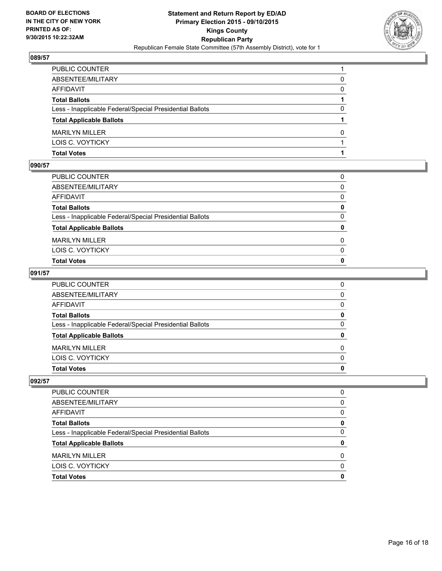

| PUBLIC COUNTER                                           |              |
|----------------------------------------------------------|--------------|
| ABSENTEE/MILITARY                                        | 0            |
| AFFIDAVIT                                                | $\mathbf{0}$ |
| Total Ballots                                            |              |
| Less - Inapplicable Federal/Special Presidential Ballots | 0            |
| <b>Total Applicable Ballots</b>                          |              |
| <b>MARILYN MILLER</b>                                    | 0            |
| LOIS C. VOYTICKY                                         |              |
| Total Votes                                              |              |

#### **090/57**

| PUBLIC COUNTER                                           | 0            |
|----------------------------------------------------------|--------------|
| ABSENTEE/MILITARY                                        | $\mathbf{0}$ |
| AFFIDAVIT                                                | $\mathbf{0}$ |
| <b>Total Ballots</b>                                     | $\mathbf{0}$ |
| Less - Inapplicable Federal/Special Presidential Ballots | $\mathbf{0}$ |
| <b>Total Applicable Ballots</b>                          | $\mathbf{0}$ |
| <b>MARILYN MILLER</b>                                    | 0            |
| LOIS C. VOYTICKY                                         | $\mathbf{0}$ |
| <b>Total Votes</b>                                       | $\mathbf{0}$ |
|                                                          |              |

## **091/57**

| Total Votes                                              | 0        |
|----------------------------------------------------------|----------|
| LOIS C. VOYTICKY                                         | $\Omega$ |
| <b>MARILYN MILLER</b>                                    | $\Omega$ |
| <b>Total Applicable Ballots</b>                          | 0        |
| Less - Inapplicable Federal/Special Presidential Ballots | 0        |
| <b>Total Ballots</b>                                     | 0        |
| AFFIDAVIT                                                | $\Omega$ |
| ABSENTEE/MILITARY                                        | $\Omega$ |
| PUBLIC COUNTER                                           | 0        |

| PUBLIC COUNTER                                           |   |
|----------------------------------------------------------|---|
| ABSENTEE/MILITARY                                        | 0 |
| <b>AFFIDAVIT</b>                                         | 0 |
| <b>Total Ballots</b>                                     | Ω |
| Less - Inapplicable Federal/Special Presidential Ballots | O |
| <b>Total Applicable Ballots</b>                          |   |
| <b>MARILYN MILLER</b>                                    | ŋ |
| LOIS C. VOYTICKY                                         | n |
| <b>Total Votes</b>                                       |   |
|                                                          |   |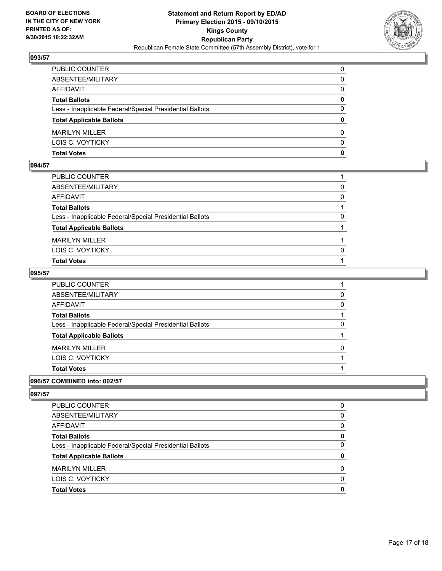

| PUBLIC COUNTER                                           | 0            |
|----------------------------------------------------------|--------------|
| ABSENTEE/MILITARY                                        | $\mathbf{0}$ |
| AFFIDAVIT                                                | 0            |
| Total Ballots                                            | 0            |
| Less - Inapplicable Federal/Special Presidential Ballots | $\Omega$     |
| <b>Total Applicable Ballots</b>                          | $\bf{0}$     |
| <b>MARILYN MILLER</b>                                    | 0            |
| LOIS C. VOYTICKY                                         | $\Omega$     |
| Total Votes                                              | $\mathbf{0}$ |

### **094/57**

| PUBLIC COUNTER                                           |          |
|----------------------------------------------------------|----------|
| ABSENTEE/MILITARY                                        | $\Omega$ |
| AFFIDAVIT                                                | 0        |
| <b>Total Ballots</b>                                     |          |
| Less - Inapplicable Federal/Special Presidential Ballots | 0        |
| <b>Total Applicable Ballots</b>                          |          |
| <b>MARILYN MILLER</b>                                    |          |
| LOIS C. VOYTICKY                                         | 0        |
| <b>Total Votes</b>                                       |          |
|                                                          |          |

## **095/57**

| PUBLIC COUNTER                                           |   |
|----------------------------------------------------------|---|
| ABSENTEE/MILITARY                                        | 0 |
| AFFIDAVIT                                                | 0 |
| Total Ballots                                            |   |
| Less - Inapplicable Federal/Special Presidential Ballots | 0 |
| <b>Total Applicable Ballots</b>                          |   |
| MARILYN MILLER                                           | 0 |
| LOIS C. VOYTICKY                                         |   |
| <b>Total Votes</b>                                       |   |
|                                                          |   |

## **096/57 COMBINED into: 002/57**

| 0<br><sup>0</sup><br>0 |
|------------------------|
|                        |
|                        |
| 0                      |
| 0                      |
| 0                      |
| 0                      |
| 0                      |
| 0                      |
|                        |